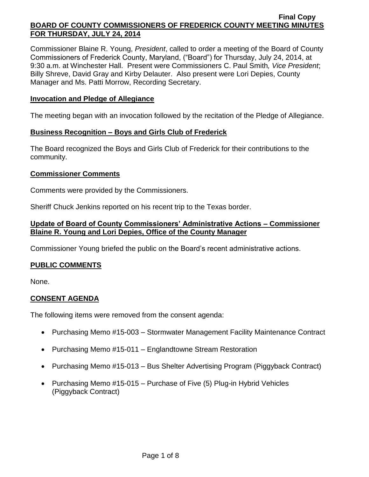Commissioner Blaine R. Young, *President*, called to order a meeting of the Board of County Commissioners of Frederick County, Maryland, ("Board") for Thursday, July 24, 2014, at 9:30 a.m. at Winchester Hall. Present were Commissioners C. Paul Smith*, Vice President*; Billy Shreve, David Gray and Kirby Delauter. Also present were Lori Depies, County Manager and Ms. Patti Morrow, Recording Secretary.

### **Invocation and Pledge of Allegiance**

The meeting began with an invocation followed by the recitation of the Pledge of Allegiance.

### **Business Recognition – Boys and Girls Club of Frederick**

The Board recognized the Boys and Girls Club of Frederick for their contributions to the community.

### **Commissioner Comments**

Comments were provided by the Commissioners.

Sheriff Chuck Jenkins reported on his recent trip to the Texas border.

## **Update of Board of County Commissioners' Administrative Actions – Commissioner Blaine R. Young and Lori Depies, Office of the County Manager**

Commissioner Young briefed the public on the Board's recent administrative actions.

## **PUBLIC COMMENTS**

None.

## **CONSENT AGENDA**

The following items were removed from the consent agenda:

- Purchasing Memo #15-003 Stormwater Management Facility Maintenance Contract
- Purchasing Memo #15-011 Englandtowne Stream Restoration
- Purchasing Memo #15-013 Bus Shelter Advertising Program (Piggyback Contract)
- Purchasing Memo #15-015 Purchase of Five (5) Plug-in Hybrid Vehicles (Piggyback Contract)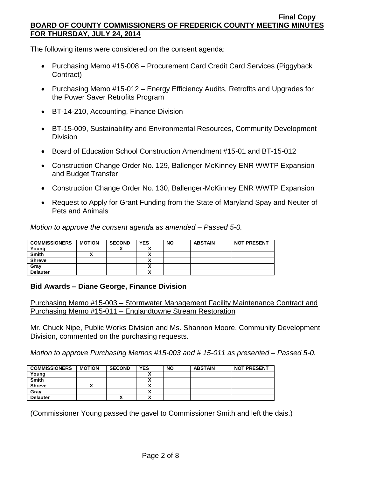The following items were considered on the consent agenda:

- Purchasing Memo #15-008 Procurement Card Credit Card Services (Piggyback Contract)
- Purchasing Memo #15-012 Energy Efficiency Audits, Retrofits and Upgrades for the Power Saver Retrofits Program
- BT-14-210, Accounting, Finance Division
- BT-15-009, Sustainability and Environmental Resources, Community Development **Division**
- Board of Education School Construction Amendment #15-01 and BT-15-012
- Construction Change Order No. 129, Ballenger-McKinney ENR WWTP Expansion and Budget Transfer
- Construction Change Order No. 130, Ballenger-McKinney ENR WWTP Expansion
- Request to Apply for Grant Funding from the State of Maryland Spay and Neuter of Pets and Animals

*Motion to approve the consent agenda as amended – Passed 5-0.*

| <b>COMMISSIONERS</b> | <b>MOTION</b> | <b>SECOND</b> | <b>YES</b> | <b>NO</b> | <b>ABSTAIN</b> | <b>NOT PRESENT</b> |
|----------------------|---------------|---------------|------------|-----------|----------------|--------------------|
| Young                |               |               |            |           |                |                    |
| <b>Smith</b>         |               |               |            |           |                |                    |
| <b>Shreve</b>        |               |               |            |           |                |                    |
| Grav                 |               |               |            |           |                |                    |
| <b>Delauter</b>      |               |               | ~          |           |                |                    |

# **Bid Awards – Diane George, Finance Division**

Purchasing Memo #15-003 – Stormwater Management Facility Maintenance Contract and Purchasing Memo #15-011 – Englandtowne Stream Restoration

Mr. Chuck Nipe, Public Works Division and Ms. Shannon Moore, Community Development Division, commented on the purchasing requests.

*Motion to approve Purchasing Memos #15-003 and # 15-011 as presented – Passed 5-0.*

| <b>COMMISSIONERS</b> | <b>MOTION</b> | <b>SECOND</b> | <b>YES</b> | <b>NO</b> | <b>ABSTAIN</b> | <b>NOT PRESENT</b> |
|----------------------|---------------|---------------|------------|-----------|----------------|--------------------|
| Young                |               |               |            |           |                |                    |
| <b>Smith</b>         |               |               |            |           |                |                    |
| <b>Shreve</b>        |               |               |            |           |                |                    |
| Gray                 |               |               |            |           |                |                    |
| <b>Delauter</b>      |               |               |            |           |                |                    |

(Commissioner Young passed the gavel to Commissioner Smith and left the dais.)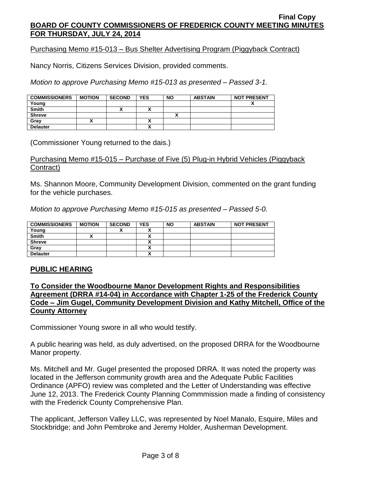Purchasing Memo #15-013 – Bus Shelter Advertising Program (Piggyback Contract)

Nancy Norris, Citizens Services Division, provided comments.

*Motion to approve Purchasing Memo #15-013 as presented – Passed 3-1.*

| <b>COMMISSIONERS</b> | <b>MOTION</b> | <b>SECOND</b> | <b>YES</b> | <b>NO</b> | <b>ABSTAIN</b> | <b>NOT PRESENT</b> |
|----------------------|---------------|---------------|------------|-----------|----------------|--------------------|
| Young                |               |               |            |           |                |                    |
| <b>Smith</b>         |               |               |            |           |                |                    |
| <b>Shreve</b>        |               |               |            |           |                |                    |
| Gray                 |               |               |            |           |                |                    |
| <b>Delauter</b>      |               |               |            |           |                |                    |

(Commissioner Young returned to the dais.)

### Purchasing Memo #15-015 – Purchase of Five (5) Plug-in Hybrid Vehicles (Piggyback Contract)

Ms. Shannon Moore, Community Development Division, commented on the grant funding for the vehicle purchases.

*Motion to approve Purchasing Memo #15-015 as presented – Passed 5-0.*

| <b>COMMISSIONERS</b> | <b>MOTION</b> | <b>SECOND</b> | <b>YES</b> | <b>NO</b> | <b>ABSTAIN</b> | <b>NOT PRESENT</b> |
|----------------------|---------------|---------------|------------|-----------|----------------|--------------------|
| Young                |               | ~             |            |           |                |                    |
| <b>Smith</b>         |               |               |            |           |                |                    |
| <b>Shreve</b>        |               |               |            |           |                |                    |
| Grav                 |               |               | ~          |           |                |                    |
| <b>Delauter</b>      |               |               |            |           |                |                    |

## **PUBLIC HEARING**

## **To Consider the Woodbourne Manor Development Rights and Responsibilities Agreement (DRRA #14-04) in Accordance with Chapter 1-25 of the Frederick County Code – Jim Gugel, Community Development Division and Kathy Mitchell, Office of the County Attorney**

Commissioner Young swore in all who would testify.

A public hearing was held, as duly advertised, on the proposed DRRA for the Woodbourne Manor property.

Ms. Mitchell and Mr. Gugel presented the proposed DRRA. It was noted the property was located in the Jefferson community growth area and the Adequate Public Facilities Ordinance (APFO) review was completed and the Letter of Understanding was effective June 12, 2013. The Frederick County Planning Commmission made a finding of consistency with the Frederick County Comprehensive Plan.

The applicant, Jefferson Valley LLC, was represented by Noel Manalo, Esquire, Miles and Stockbridge; and John Pembroke and Jeremy Holder, Ausherman Development.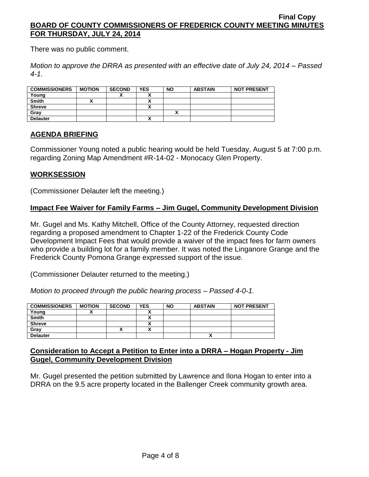There was no public comment.

*Motion to approve the DRRA as presented with an effective date of July 24, 2014 – Passed 4-1.*

| <b>COMMISSIONERS</b> | <b>MOTION</b> | <b>SECOND</b> | <b>YES</b> | <b>NO</b> | <b>ABSTAIN</b> | <b>NOT PRESENT</b> |
|----------------------|---------------|---------------|------------|-----------|----------------|--------------------|
| Young                |               |               | v          |           |                |                    |
| <b>Smith</b>         |               |               | v<br>Λ     |           |                |                    |
| <b>Shreve</b>        |               |               | <br>Λ      |           |                |                    |
| Grav                 |               |               |            |           |                |                    |
| <b>Delauter</b>      |               |               | v<br>Λ     |           |                |                    |

# **AGENDA BRIEFING**

Commissioner Young noted a public hearing would be held Tuesday, August 5 at 7:00 p.m. regarding Zoning Map Amendment #R-14-02 - Monocacy Glen Property.

## **WORKSESSION**

(Commissioner Delauter left the meeting.)

## **Impact Fee Waiver for Family Farms – Jim Gugel, Community Development Division**

Mr. Gugel and Ms. Kathy Mitchell, Office of the County Attorney, requested direction regarding a proposed amendment to Chapter 1-22 of the Frederick County Code Development Impact Fees that would provide a waiver of the impact fees for farm owners who provide a building lot for a family member. It was noted the Linganore Grange and the Frederick County Pomona Grange expressed support of the issue.

(Commissioner Delauter returned to the meeting.)

*Motion to proceed through the public hearing process – Passed 4-0-1.*

| <b>COMMISSIONERS</b> | <b>MOTION</b> | <b>SECOND</b> | <b>YES</b> | <b>NO</b> | <b>ABSTAIN</b> | <b>NOT PRESENT</b> |
|----------------------|---------------|---------------|------------|-----------|----------------|--------------------|
| Young                |               |               |            |           |                |                    |
| <b>Smith</b>         |               |               |            |           |                |                    |
| <b>Shreve</b>        |               |               |            |           |                |                    |
| Gray                 |               |               |            |           |                |                    |
| <b>Delauter</b>      |               |               |            |           |                |                    |

### **Consideration to Accept a Petition to Enter into a DRRA – Hogan Property - Jim Gugel, Community Development Division**

Mr. Gugel presented the petition submitted by Lawrence and Ilona Hogan to enter into a DRRA on the 9.5 acre property located in the Ballenger Creek community growth area.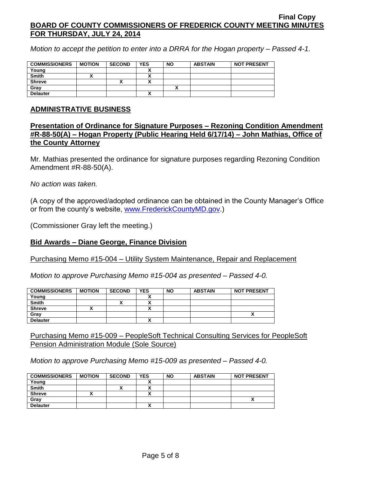*Motion to accept the petition to enter into a DRRA for the Hogan property – Passed 4-1.*

| <b>COMMISSIONERS</b> | <b>MOTION</b> | <b>SECOND</b> | <b>YES</b> | <b>NO</b> | <b>ABSTAIN</b> | <b>NOT PRESENT</b> |
|----------------------|---------------|---------------|------------|-----------|----------------|--------------------|
| Young                |               |               |            |           |                |                    |
| <b>Smith</b>         |               |               |            |           |                |                    |
| <b>Shreve</b>        |               | ↗             |            |           |                |                    |
| Gray                 |               |               |            |           |                |                    |
| <b>Delauter</b>      |               |               |            |           |                |                    |

#### **ADMINISTRATIVE BUSINESS**

**Presentation of Ordinance for Signature Purposes – Rezoning Condition Amendment #R-88-50(A) – Hogan Property (Public Hearing Held 6/17/14) – John Mathias, Office of the County Attorney**

Mr. Mathias presented the ordinance for signature purposes regarding Rezoning Condition Amendment #R-88-50(A).

*No action was taken.*

(A copy of the approved/adopted ordinance can be obtained in the County Manager's Office or from the county's website, [www.FrederickCountyMD.gov.](http://www.frederickcountymd.gov/))

(Commissioner Gray left the meeting.)

#### **Bid Awards – Diane George, Finance Division**

Purchasing Memo #15-004 – Utility System Maintenance, Repair and Replacement

*Motion to approve Purchasing Memo #15-004 as presented – Passed 4-0.*

| <b>COMMISSIONERS</b> | <b>MOTION</b> | <b>SECOND</b> | <b>YES</b> | <b>NO</b> | <b>ABSTAIN</b> | <b>NOT PRESENT</b> |
|----------------------|---------------|---------------|------------|-----------|----------------|--------------------|
| Young                |               |               |            |           |                |                    |
| <b>Smith</b>         |               |               |            |           |                |                    |
| <b>Shreve</b>        |               |               |            |           |                |                    |
| Gray                 |               |               |            |           |                |                    |
| <b>Delauter</b>      |               |               |            |           |                |                    |

Purchasing Memo #15-009 – PeopleSoft Technical Consulting Services for PeopleSoft Pension Administration Module (Sole Source)

*Motion to approve Purchasing Memo #15-009 as presented – Passed 4-0.*

| <b>COMMISSIONERS</b> | <b>MOTION</b> | <b>SECOND</b> | <b>YES</b> | <b>NO</b> | <b>ABSTAIN</b> | <b>NOT PRESENT</b> |
|----------------------|---------------|---------------|------------|-----------|----------------|--------------------|
| Young                |               |               |            |           |                |                    |
| <b>Smith</b>         |               | ↗             |            |           |                |                    |
| <b>Shreve</b>        |               |               |            |           |                |                    |
| Grav                 |               |               |            |           |                |                    |
| <b>Delauter</b>      |               |               |            |           |                |                    |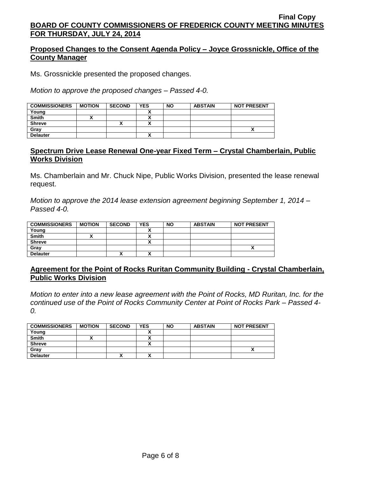## **Proposed Changes to the Consent Agenda Policy – Joyce Grossnickle, Office of the County Manager**

Ms. Grossnickle presented the proposed changes.

*Motion to approve the proposed changes – Passed 4-0.*

| <b>COMMISSIONERS</b> | <b>MOTION</b> | <b>SECOND</b> | <b>YES</b> | <b>NO</b> | <b>ABSTAIN</b> | <b>NOT PRESENT</b> |
|----------------------|---------------|---------------|------------|-----------|----------------|--------------------|
| Young                |               |               |            |           |                |                    |
| <b>Smith</b>         |               |               |            |           |                |                    |
| <b>Shreve</b>        |               |               |            |           |                |                    |
| Gray                 |               |               |            |           |                | $\cdot$            |
| <b>Delauter</b>      |               |               | ↗          |           |                |                    |

## **Spectrum Drive Lease Renewal One-year Fixed Term – Crystal Chamberlain, Public Works Division**

Ms. Chamberlain and Mr. Chuck Nipe, Public Works Division, presented the lease renewal request.

*Motion to approve the 2014 lease extension agreement beginning September 1, 2014 – Passed 4-0.*

| <b>COMMISSIONERS</b> | <b>MOTION</b> | <b>SECOND</b> | <b>YES</b> | <b>NO</b> | <b>ABSTAIN</b> | <b>NOT PRESENT</b> |
|----------------------|---------------|---------------|------------|-----------|----------------|--------------------|
| Young                |               |               |            |           |                |                    |
| <b>Smith</b>         |               |               | ,,         |           |                |                    |
| <b>Shreve</b>        |               |               |            |           |                |                    |
| Grav                 |               |               |            |           |                |                    |
| <b>Delauter</b>      |               |               | ٠.         |           |                |                    |

## **Agreement for the Point of Rocks Ruritan Community Building - Crystal Chamberlain, Public Works Division**

*Motion to enter into a new lease agreement with the Point of Rocks, MD Ruritan, Inc. for the continued use of the Point of Rocks Community Center at Point of Rocks Park – Passed 4- 0.*

| <b>COMMISSIONERS</b> | <b>MOTION</b> | <b>SECOND</b> | <b>YES</b> | <b>NO</b> | <b>ABSTAIN</b> | <b>NOT PRESENT</b> |
|----------------------|---------------|---------------|------------|-----------|----------------|--------------------|
| Young                |               |               |            |           |                |                    |
| <b>Smith</b>         |               |               |            |           |                |                    |
| <b>Shreve</b>        |               |               |            |           |                |                    |
| Gray                 |               |               |            |           |                |                    |
| <b>Delauter</b>      |               | ́             |            |           |                |                    |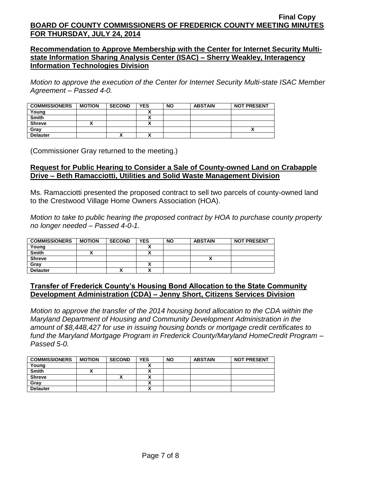## **Recommendation to Approve Membership with the Center for Internet Security Multistate Information Sharing Analysis Center (ISAC) – Sherry Weakley, Interagency Information Technologies Division**

*Motion to approve the execution of the Center for Internet Security Multi-state ISAC Member Agreement – Passed 4-0.*

| <b>COMMISSIONERS</b> | <b>MOTION</b> | <b>SECOND</b> | <b>YES</b> | <b>NO</b> | <b>ABSTAIN</b> | <b>NOT PRESENT</b> |
|----------------------|---------------|---------------|------------|-----------|----------------|--------------------|
| Young                |               |               |            |           |                |                    |
| <b>Smith</b>         |               |               |            |           |                |                    |
| <b>Shreve</b>        |               |               |            |           |                |                    |
| Grav                 |               |               |            |           |                | Λ                  |
| <b>Delauter</b>      |               | Λ             |            |           |                |                    |

(Commissioner Gray returned to the meeting.)

## **Request for Public Hearing to Consider a Sale of County-owned Land on Crabapple Drive – Beth Ramacciotti, Utilities and Solid Waste Management Division**

Ms. Ramacciotti presented the proposed contract to sell two parcels of county-owned land to the Crestwood Village Home Owners Association (HOA).

*Motion to take to public hearing the proposed contract by HOA to purchase county property no longer needed – Passed 4-0-1.*

| <b>COMMISSIONERS</b> | <b>MOTION</b> | <b>SECOND</b> | <b>YES</b>   | <b>NO</b> | <b>ABSTAIN</b> | <b>NOT PRESENT</b> |
|----------------------|---------------|---------------|--------------|-----------|----------------|--------------------|
| Young                |               |               |              |           |                |                    |
| <b>Smith</b>         |               |               |              |           |                |                    |
| <b>Shreve</b>        |               |               |              |           |                |                    |
| Gray                 |               |               |              |           |                |                    |
| <b>Delauter</b>      |               | "             | $\mathbf{v}$ |           |                |                    |

## **Transfer of Frederick County's Housing Bond Allocation to the State Community Development Administration (CDA) – Jenny Short, Citizens Services Division**

*Motion to approve the transfer of the 2014 housing bond allocation to the CDA within the Maryland Department of Housing and Community Development Administration in the amount of \$8,448,427 for use in issuing housing bonds or mortgage credit certificates to fund the Maryland Mortgage Program in Frederick County/Maryland HomeCredit Program – Passed 5-0.*

| <b>COMMISSIONERS</b> | <b>MOTION</b> | <b>SECOND</b> | <b>YES</b> | <b>NO</b> | <b>ABSTAIN</b> | <b>NOT PRESENT</b> |
|----------------------|---------------|---------------|------------|-----------|----------------|--------------------|
| Young                |               |               |            |           |                |                    |
| <b>Smith</b>         |               |               |            |           |                |                    |
| <b>Shreve</b>        |               | ́             |            |           |                |                    |
| Grav                 |               |               |            |           |                |                    |
| <b>Delauter</b>      |               |               |            |           |                |                    |